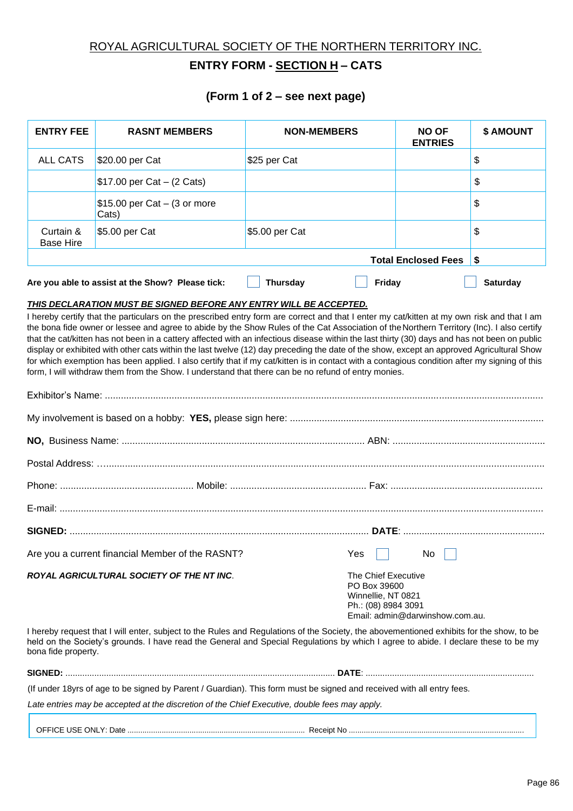### ROYAL AGRICULTURAL SOCIETY OF THE NORTHERN TERRITORY INC.

## **ENTRY FORM - SECTION H – CATS**

#### **(Form 1 of 2 – see next page)**

| <b>ENTRY FEE</b>                                                                                                                                                                                                                                                               | <b>RASNT MEMBERS</b>                                                                                                                                                                                                                                                                                                                                                                                                                                                                                                                                                                                                                                                                                                                                                                                                                          | <b>NON-MEMBERS</b>                                                                                                         | <b>NO OF</b><br><b>ENTRIES</b> | \$ AMOUNT       |  |  |
|--------------------------------------------------------------------------------------------------------------------------------------------------------------------------------------------------------------------------------------------------------------------------------|-----------------------------------------------------------------------------------------------------------------------------------------------------------------------------------------------------------------------------------------------------------------------------------------------------------------------------------------------------------------------------------------------------------------------------------------------------------------------------------------------------------------------------------------------------------------------------------------------------------------------------------------------------------------------------------------------------------------------------------------------------------------------------------------------------------------------------------------------|----------------------------------------------------------------------------------------------------------------------------|--------------------------------|-----------------|--|--|
| <b>ALL CATS</b>                                                                                                                                                                                                                                                                | \$20.00 per Cat                                                                                                                                                                                                                                                                                                                                                                                                                                                                                                                                                                                                                                                                                                                                                                                                                               | \$25 per Cat                                                                                                               |                                | \$              |  |  |
|                                                                                                                                                                                                                                                                                | \$17.00 per Cat $-$ (2 Cats)                                                                                                                                                                                                                                                                                                                                                                                                                                                                                                                                                                                                                                                                                                                                                                                                                  |                                                                                                                            |                                | \$              |  |  |
|                                                                                                                                                                                                                                                                                | $$15.00$ per Cat $-$ (3 or more<br>Cats)                                                                                                                                                                                                                                                                                                                                                                                                                                                                                                                                                                                                                                                                                                                                                                                                      |                                                                                                                            |                                | \$              |  |  |
| Curtain &<br><b>Base Hire</b>                                                                                                                                                                                                                                                  | \$5.00 per Cat                                                                                                                                                                                                                                                                                                                                                                                                                                                                                                                                                                                                                                                                                                                                                                                                                                | \$5.00 per Cat                                                                                                             |                                | \$              |  |  |
|                                                                                                                                                                                                                                                                                |                                                                                                                                                                                                                                                                                                                                                                                                                                                                                                                                                                                                                                                                                                                                                                                                                                               | <b>Total Enclosed Fees</b><br>\$                                                                                           |                                |                 |  |  |
|                                                                                                                                                                                                                                                                                | Are you able to assist at the Show? Please tick:                                                                                                                                                                                                                                                                                                                                                                                                                                                                                                                                                                                                                                                                                                                                                                                              | <b>Thursday</b><br>Friday                                                                                                  |                                | <b>Saturday</b> |  |  |
|                                                                                                                                                                                                                                                                                | I hereby certify that the particulars on the prescribed entry form are correct and that I enter my cat/kitten at my own risk and that I am<br>the bona fide owner or lessee and agree to abide by the Show Rules of the Cat Association of the Northern Territory (Inc). I also certify<br>that the cat/kitten has not been in a cattery affected with an infectious disease within the last thirty (30) days and has not been on public<br>display or exhibited with other cats within the last twelve (12) day preceding the date of the show, except an approved Agricultural Show<br>for which exemption has been applied. I also certify that if my cat/kitten is in contact with a contagious condition after my signing of this<br>form, I will withdraw them from the Show. I understand that there can be no refund of entry monies. |                                                                                                                            |                                |                 |  |  |
|                                                                                                                                                                                                                                                                                |                                                                                                                                                                                                                                                                                                                                                                                                                                                                                                                                                                                                                                                                                                                                                                                                                                               |                                                                                                                            |                                |                 |  |  |
|                                                                                                                                                                                                                                                                                |                                                                                                                                                                                                                                                                                                                                                                                                                                                                                                                                                                                                                                                                                                                                                                                                                                               |                                                                                                                            |                                |                 |  |  |
|                                                                                                                                                                                                                                                                                |                                                                                                                                                                                                                                                                                                                                                                                                                                                                                                                                                                                                                                                                                                                                                                                                                                               |                                                                                                                            |                                |                 |  |  |
|                                                                                                                                                                                                                                                                                |                                                                                                                                                                                                                                                                                                                                                                                                                                                                                                                                                                                                                                                                                                                                                                                                                                               |                                                                                                                            |                                |                 |  |  |
|                                                                                                                                                                                                                                                                                | Are you a current financial Member of the RASNT?                                                                                                                                                                                                                                                                                                                                                                                                                                                                                                                                                                                                                                                                                                                                                                                              | $Yes \Box$                                                                                                                 | No                             |                 |  |  |
| ROYAL AGRICULTURAL SOCIETY OF THE NT INC.                                                                                                                                                                                                                                      |                                                                                                                                                                                                                                                                                                                                                                                                                                                                                                                                                                                                                                                                                                                                                                                                                                               | <b>The Chief Executive</b><br>PO Box 39600<br>Winnellie, NT 0821<br>Ph.: (08) 8984 3091<br>Email: admin@darwinshow.com.au. |                                |                 |  |  |
| I hereby request that I will enter, subject to the Rules and Regulations of the Society, the abovementioned exhibits for the show, to be<br>held on the Society's grounds. I have read the General and Special Regulations by which I agree to abide. I declare these to be my |                                                                                                                                                                                                                                                                                                                                                                                                                                                                                                                                                                                                                                                                                                                                                                                                                                               |                                                                                                                            |                                |                 |  |  |

bona fide property.

| <b>SIGNED</b> |                   |
|---------------|-------------------|
|               | <i><u>. .</u></i> |

(If under 18yrs of age to be signed by Parent / Guardian). This form must be signed and received with all entry fees.

*Late entries may be accepted at the discretion of the Chief Executive, double fees may apply.*

OFFICE USE ONLY: Date ................................................................................... Receipt No ..................................................................................